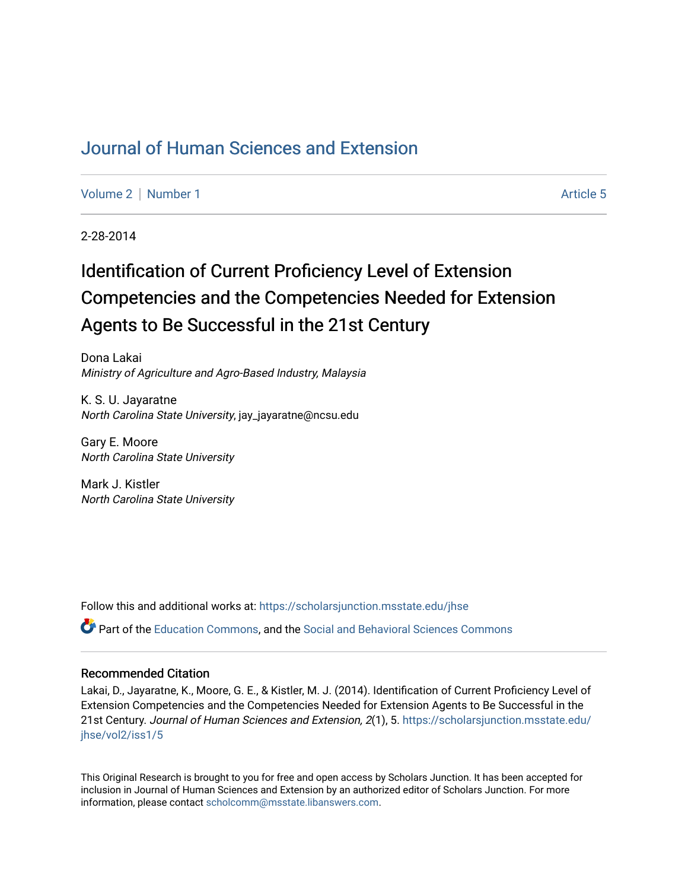## [Journal of Human Sciences and Extension](https://scholarsjunction.msstate.edu/jhse)

[Volume 2](https://scholarsjunction.msstate.edu/jhse/vol2) | [Number 1](https://scholarsjunction.msstate.edu/jhse/vol2/iss1) Article 5

2-28-2014

# Identification of Current Proficiency Level of Extension Competencies and the Competencies Needed for Extension Agents to Be Successful in the 21st Century

Dona Lakai Ministry of Agriculture and Agro-Based Industry, Malaysia

K. S. U. Jayaratne North Carolina State University, jay\_jayaratne@ncsu.edu

Gary E. Moore North Carolina State University

Mark J. Kistler North Carolina State University

Follow this and additional works at: [https://scholarsjunction.msstate.edu/jhse](https://scholarsjunction.msstate.edu/jhse?utm_source=scholarsjunction.msstate.edu%2Fjhse%2Fvol2%2Fiss1%2F5&utm_medium=PDF&utm_campaign=PDFCoverPages)

Part of the [Education Commons](http://network.bepress.com/hgg/discipline/784?utm_source=scholarsjunction.msstate.edu%2Fjhse%2Fvol2%2Fiss1%2F5&utm_medium=PDF&utm_campaign=PDFCoverPages), and the [Social and Behavioral Sciences Commons](http://network.bepress.com/hgg/discipline/316?utm_source=scholarsjunction.msstate.edu%2Fjhse%2Fvol2%2Fiss1%2F5&utm_medium=PDF&utm_campaign=PDFCoverPages) 

#### Recommended Citation

Lakai, D., Jayaratne, K., Moore, G. E., & Kistler, M. J. (2014). Identification of Current Proficiency Level of Extension Competencies and the Competencies Needed for Extension Agents to Be Successful in the 21st Century. Journal of Human Sciences and Extension, 2(1), 5. [https://scholarsjunction.msstate.edu/](https://scholarsjunction.msstate.edu/jhse/vol2/iss1/5?utm_source=scholarsjunction.msstate.edu%2Fjhse%2Fvol2%2Fiss1%2F5&utm_medium=PDF&utm_campaign=PDFCoverPages) [jhse/vol2/iss1/5](https://scholarsjunction.msstate.edu/jhse/vol2/iss1/5?utm_source=scholarsjunction.msstate.edu%2Fjhse%2Fvol2%2Fiss1%2F5&utm_medium=PDF&utm_campaign=PDFCoverPages)

This Original Research is brought to you for free and open access by Scholars Junction. It has been accepted for inclusion in Journal of Human Sciences and Extension by an authorized editor of Scholars Junction. For more information, please contact [scholcomm@msstate.libanswers.com](mailto:scholcomm@msstate.libanswers.com).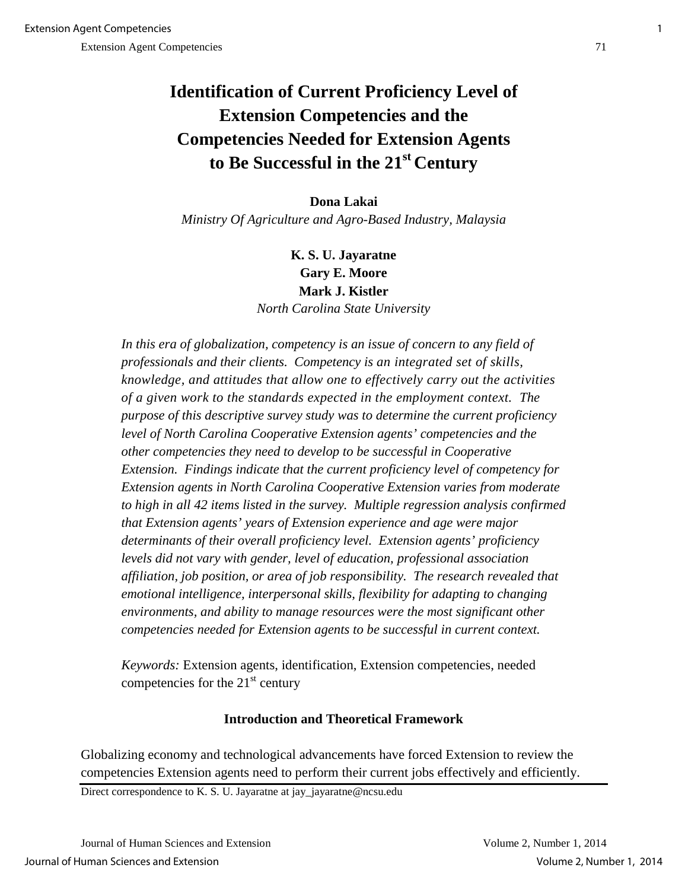## **Identification of Current Proficiency Level of Extension Competencies and the Competencies Needed for Extension Agents to Be Successful in the 21st Century**

## **Dona Lakai**

*Ministry Of Agriculture and Agro-Based Industry, Malaysia* 

## **K. S. U. Jayaratne Gary E. Moore Mark J. Kistler**  *North Carolina State University*

In this era of globalization, competency is an issue of concern to any field of *professionals and their clients. Competency is an integrated set of skills, knowledge, and attitudes that allow one to effectively carry out the activities of a given work to the standards expected in the employment context. The purpose of this descriptive survey study was to determine the current proficiency level of North Carolina Cooperative Extension agents' competencies and the other competencies they need to develop to be successful in Cooperative Extension. Findings indicate that the current proficiency level of competency for Extension agents in North Carolina Cooperative Extension varies from moderate to high in all 42 items listed in the survey. Multiple regression analysis confirmed that Extension agents' years of Extension experience and age were major determinants of their overall proficiency level. Extension agents' proficiency levels did not vary with gender, level of education, professional association affiliation, job position, or area of job responsibility. The research revealed that emotional intelligence, interpersonal skills, flexibility for adapting to changing environments, and ability to manage resources were the most significant other competencies needed for Extension agents to be successful in current context.*

*Keywords:* Extension agents, identification, Extension competencies, needed competencies for the  $21<sup>st</sup>$  century

### **Introduction and Theoretical Framework**

Globalizing economy and technological advancements have forced Extension to review the competencies Extension agents need to perform their current jobs effectively and efficiently.

Direct correspondence to K. S. U. Jayaratne at jay\_jayaratne@ncsu.edu

Journal of Human Sciences and Extension Volume 2, Number 1, 2014 Journal of Human Sciences and Extension Volume 2, Number 1, 2014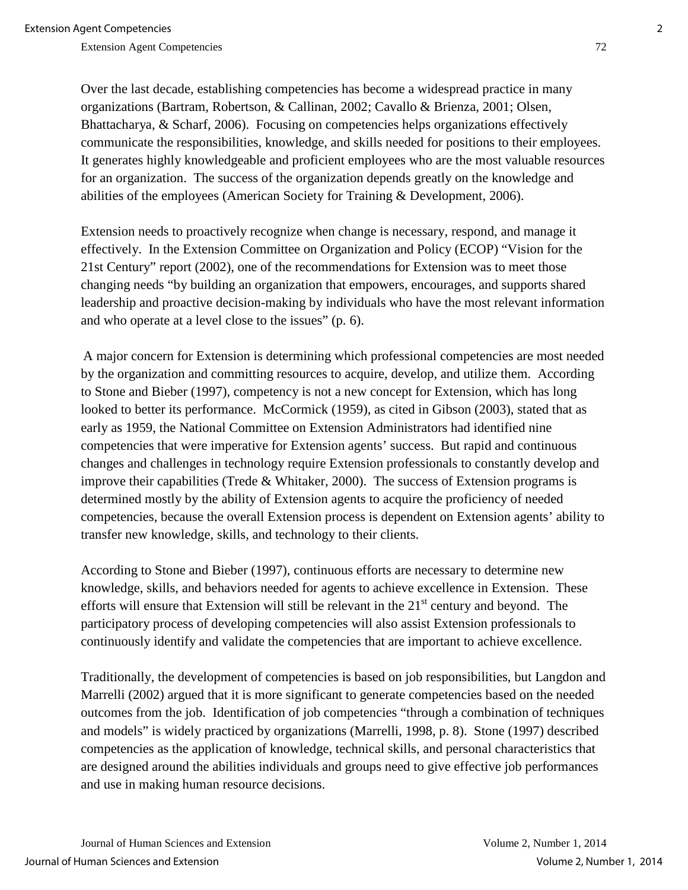Over the last decade, establishing competencies has become a widespread practice in many organizations (Bartram, Robertson, & Callinan, 2002; Cavallo & Brienza, 2001; Olsen, Bhattacharya, & Scharf, 2006). Focusing on competencies helps organizations effectively communicate the responsibilities, knowledge, and skills needed for positions to their employees. It generates highly knowledgeable and proficient employees who are the most valuable resources for an organization. The success of the organization depends greatly on the knowledge and abilities of the employees (American Society for Training & Development, 2006).

Extension needs to proactively recognize when change is necessary, respond, and manage it effectively. In the Extension Committee on Organization and Policy (ECOP) "Vision for the 21st Century" report (2002), one of the recommendations for Extension was to meet those changing needs "by building an organization that empowers, encourages, and supports shared leadership and proactive decision-making by individuals who have the most relevant information and who operate at a level close to the issues" (p. 6).

 A major concern for Extension is determining which professional competencies are most needed by the organization and committing resources to acquire, develop, and utilize them. According to Stone and Bieber (1997), competency is not a new concept for Extension, which has long looked to better its performance. McCormick (1959), as cited in Gibson (2003), stated that as early as 1959, the National Committee on Extension Administrators had identified nine competencies that were imperative for Extension agents' success. But rapid and continuous changes and challenges in technology require Extension professionals to constantly develop and improve their capabilities (Trede & Whitaker, 2000). The success of Extension programs is determined mostly by the ability of Extension agents to acquire the proficiency of needed competencies, because the overall Extension process is dependent on Extension agents' ability to transfer new knowledge, skills, and technology to their clients.

According to Stone and Bieber (1997), continuous efforts are necessary to determine new knowledge, skills, and behaviors needed for agents to achieve excellence in Extension. These efforts will ensure that Extension will still be relevant in the  $21<sup>st</sup>$  century and beyond. The participatory process of developing competencies will also assist Extension professionals to continuously identify and validate the competencies that are important to achieve excellence.

Traditionally, the development of competencies is based on job responsibilities, but Langdon and Marrelli (2002) argued that it is more significant to generate competencies based on the needed outcomes from the job. Identification of job competencies "through a combination of techniques and models" is widely practiced by organizations (Marrelli, 1998, p. 8). Stone (1997) described competencies as the application of knowledge, technical skills, and personal characteristics that are designed around the abilities individuals and groups need to give effective job performances and use in making human resource decisions.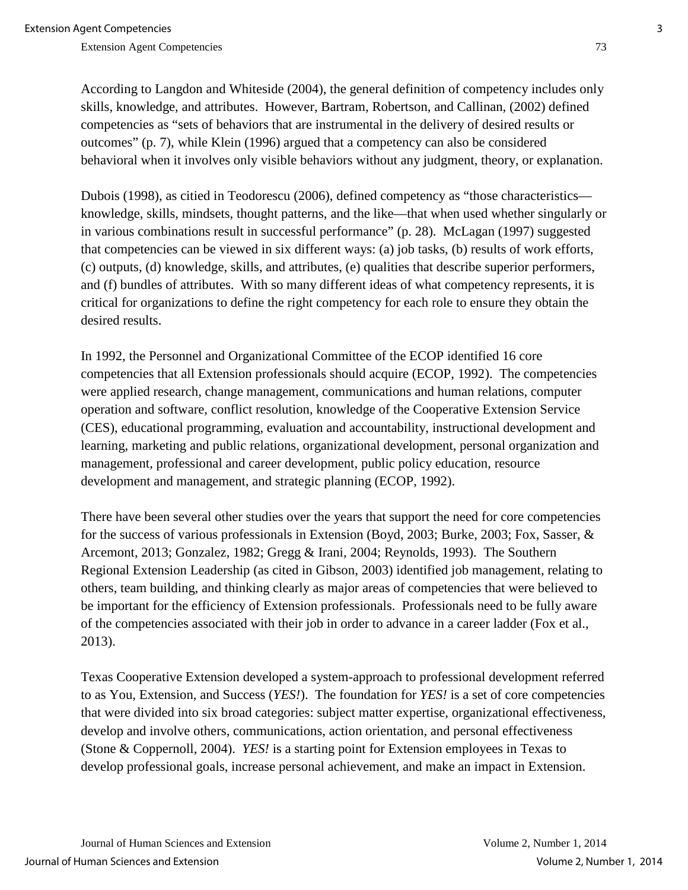According to Langdon and Whiteside (2004), the general definition of competency includes only skills, knowledge, and attributes. However, Bartram, Robertson, and Callinan, (2002) defined competencies as "sets of behaviors that are instrumental in the delivery of desired results or outcomes" (p. 7), while Klein (1996) argued that a competency can also be considered behavioral when it involves only visible behaviors without any judgment, theory, or explanation.

Dubois (1998), as citied in Teodorescu (2006), defined competency as "those characteristics knowledge, skills, mindsets, thought patterns, and the like—that when used whether singularly or in various combinations result in successful performance" (p. 28). McLagan (1997) suggested that competencies can be viewed in six different ways: (a) job tasks, (b) results of work efforts, (c) outputs, (d) knowledge, skills, and attributes, (e) qualities that describe superior performers, and (f) bundles of attributes. With so many different ideas of what competency represents, it is critical for organizations to define the right competency for each role to ensure they obtain the desired results.

In 1992, the Personnel and Organizational Committee of the ECOP identified 16 core competencies that all Extension professionals should acquire (ECOP, 1992). The competencies were applied research, change management, communications and human relations, computer operation and software, conflict resolution, knowledge of the Cooperative Extension Service (CES), educational programming, evaluation and accountability, instructional development and learning, marketing and public relations, organizational development, personal organization and management, professional and career development, public policy education, resource development and management, and strategic planning (ECOP, 1992).

There have been several other studies over the years that support the need for core competencies for the success of various professionals in Extension (Boyd, 2003; Burke, 2003; Fox, Sasser, & Arcemont, 2013; Gonzalez, 1982; Gregg & Irani, 2004; Reynolds, 1993). The Southern Regional Extension Leadership (as cited in Gibson, 2003) identified job management, relating to others, team building, and thinking clearly as major areas of competencies that were believed to be important for the efficiency of Extension professionals. Professionals need to be fully aware of the competencies associated with their job in order to advance in a career ladder (Fox et al., 2013).

Texas Cooperative Extension developed a system-approach to professional development referred to as You, Extension, and Success (*YES!*). The foundation for *YES!* is a set of core competencies that were divided into six broad categories: subject matter expertise, organizational effectiveness, develop and involve others, communications, action orientation, and personal effectiveness (Stone & Coppernoll, 2004). *YES!* is a starting point for Extension employees in Texas to develop professional goals, increase personal achievement, and make an impact in Extension.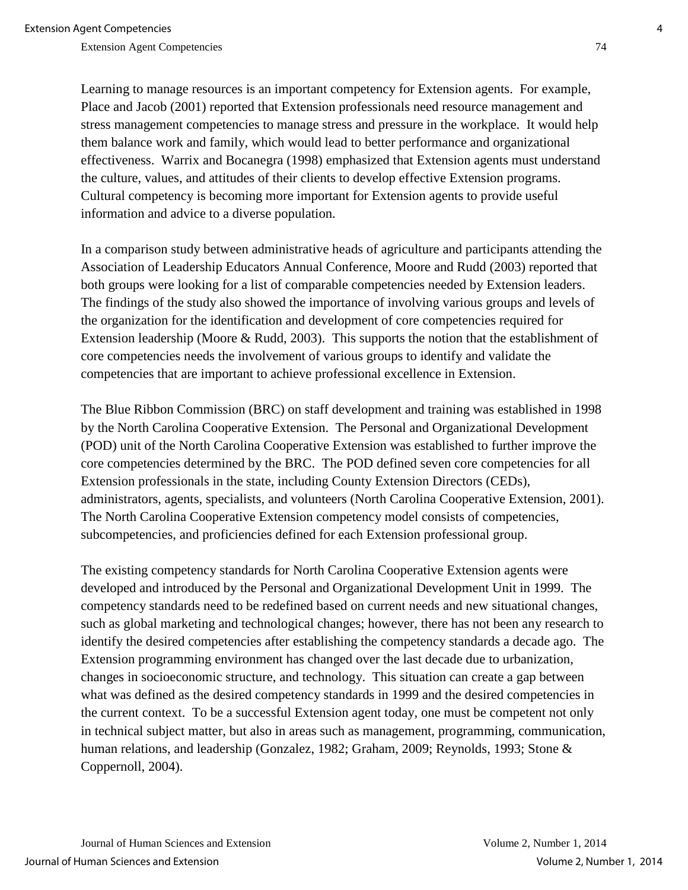Learning to manage resources is an important competency for Extension agents. For example, Place and Jacob (2001) reported that Extension professionals need resource management and stress management competencies to manage stress and pressure in the workplace. It would help them balance work and family, which would lead to better performance and organizational effectiveness. Warrix and Bocanegra (1998) emphasized that Extension agents must understand the culture, values, and attitudes of their clients to develop effective Extension programs. Cultural competency is becoming more important for Extension agents to provide useful information and advice to a diverse population.

In a comparison study between administrative heads of agriculture and participants attending the Association of Leadership Educators Annual Conference, Moore and Rudd (2003) reported that both groups were looking for a list of comparable competencies needed by Extension leaders. The findings of the study also showed the importance of involving various groups and levels of the organization for the identification and development of core competencies required for Extension leadership (Moore & Rudd, 2003). This supports the notion that the establishment of core competencies needs the involvement of various groups to identify and validate the competencies that are important to achieve professional excellence in Extension.

The Blue Ribbon Commission (BRC) on staff development and training was established in 1998 by the North Carolina Cooperative Extension. The Personal and Organizational Development (POD) unit of the North Carolina Cooperative Extension was established to further improve the core competencies determined by the BRC. The POD defined seven core competencies for all Extension professionals in the state, including County Extension Directors (CEDs), administrators, agents, specialists, and volunteers (North Carolina Cooperative Extension, 2001). The North Carolina Cooperative Extension competency model consists of competencies, subcompetencies, and proficiencies defined for each Extension professional group.

The existing competency standards for North Carolina Cooperative Extension agents were developed and introduced by the Personal and Organizational Development Unit in 1999. The competency standards need to be redefined based on current needs and new situational changes, such as global marketing and technological changes; however, there has not been any research to identify the desired competencies after establishing the competency standards a decade ago. The Extension programming environment has changed over the last decade due to urbanization, changes in socioeconomic structure, and technology. This situation can create a gap between what was defined as the desired competency standards in 1999 and the desired competencies in the current context. To be a successful Extension agent today, one must be competent not only in technical subject matter, but also in areas such as management, programming, communication, human relations, and leadership (Gonzalez, 1982; Graham, 2009; Reynolds, 1993; Stone & Coppernoll, 2004).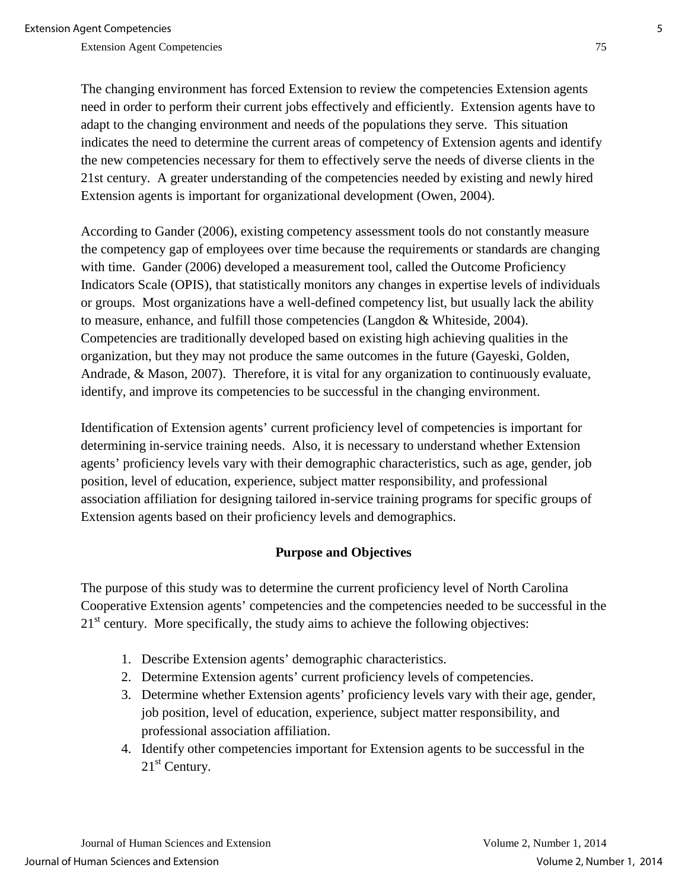The changing environment has forced Extension to review the competencies Extension agents need in order to perform their current jobs effectively and efficiently. Extension agents have to adapt to the changing environment and needs of the populations they serve. This situation indicates the need to determine the current areas of competency of Extension agents and identify the new competencies necessary for them to effectively serve the needs of diverse clients in the 21st century. A greater understanding of the competencies needed by existing and newly hired Extension agents is important for organizational development (Owen, 2004).

According to Gander (2006), existing competency assessment tools do not constantly measure the competency gap of employees over time because the requirements or standards are changing with time. Gander (2006) developed a measurement tool, called the Outcome Proficiency Indicators Scale (OPIS), that statistically monitors any changes in expertise levels of individuals or groups. Most organizations have a well-defined competency list, but usually lack the ability to measure, enhance, and fulfill those competencies (Langdon & Whiteside, 2004). Competencies are traditionally developed based on existing high achieving qualities in the organization, but they may not produce the same outcomes in the future (Gayeski, Golden, Andrade, & Mason, 2007). Therefore, it is vital for any organization to continuously evaluate, identify, and improve its competencies to be successful in the changing environment.

Identification of Extension agents' current proficiency level of competencies is important for determining in-service training needs. Also, it is necessary to understand whether Extension agents' proficiency levels vary with their demographic characteristics, such as age, gender, job position, level of education, experience, subject matter responsibility, and professional association affiliation for designing tailored in-service training programs for specific groups of Extension agents based on their proficiency levels and demographics.

#### **Purpose and Objectives**

The purpose of this study was to determine the current proficiency level of North Carolina Cooperative Extension agents' competencies and the competencies needed to be successful in the  $21<sup>st</sup>$  century. More specifically, the study aims to achieve the following objectives:

- 1. Describe Extension agents' demographic characteristics.
- 2. Determine Extension agents' current proficiency levels of competencies.
- 3. Determine whether Extension agents' proficiency levels vary with their age, gender, job position, level of education, experience, subject matter responsibility, and professional association affiliation.
- 4. Identify other competencies important for Extension agents to be successful in the  $21<sup>st</sup>$  Century.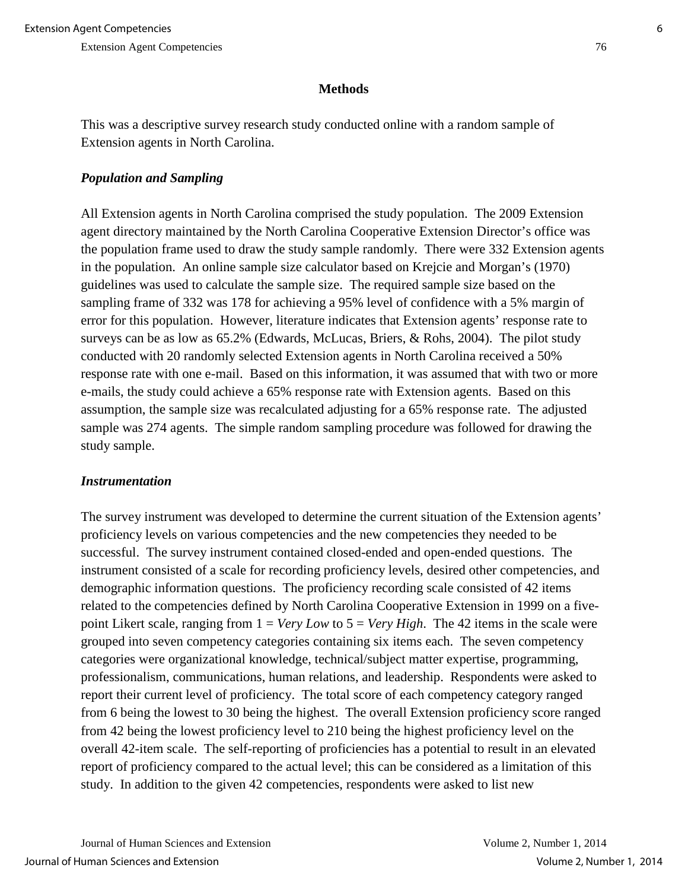## **Methods**

This was a descriptive survey research study conducted online with a random sample of Extension agents in North Carolina.

## *Population and Sampling*

All Extension agents in North Carolina comprised the study population. The 2009 Extension agent directory maintained by the North Carolina Cooperative Extension Director's office was the population frame used to draw the study sample randomly. There were 332 Extension agents in the population. An online sample size calculator based on Krejcie and Morgan's (1970) guidelines was used to calculate the sample size. The required sample size based on the sampling frame of 332 was 178 for achieving a 95% level of confidence with a 5% margin of error for this population. However, literature indicates that Extension agents' response rate to surveys can be as low as 65.2% (Edwards, McLucas, Briers, & Rohs, 2004). The pilot study conducted with 20 randomly selected Extension agents in North Carolina received a 50% response rate with one e-mail. Based on this information, it was assumed that with two or more e-mails, the study could achieve a 65% response rate with Extension agents. Based on this assumption, the sample size was recalculated adjusting for a 65% response rate. The adjusted sample was 274 agents. The simple random sampling procedure was followed for drawing the study sample.

### *Instrumentation*

The survey instrument was developed to determine the current situation of the Extension agents' proficiency levels on various competencies and the new competencies they needed to be successful. The survey instrument contained closed-ended and open-ended questions. The instrument consisted of a scale for recording proficiency levels, desired other competencies, and demographic information questions. The proficiency recording scale consisted of 42 items related to the competencies defined by North Carolina Cooperative Extension in 1999 on a fivepoint Likert scale, ranging from 1 = *Very Low* to 5 = *Very High*. The 42 items in the scale were grouped into seven competency categories containing six items each. The seven competency categories were organizational knowledge, technical/subject matter expertise, programming, professionalism, communications, human relations, and leadership. Respondents were asked to report their current level of proficiency. The total score of each competency category ranged from 6 being the lowest to 30 being the highest. The overall Extension proficiency score ranged from 42 being the lowest proficiency level to 210 being the highest proficiency level on the overall 42-item scale. The self-reporting of proficiencies has a potential to result in an elevated report of proficiency compared to the actual level; this can be considered as a limitation of this study. In addition to the given 42 competencies, respondents were asked to list new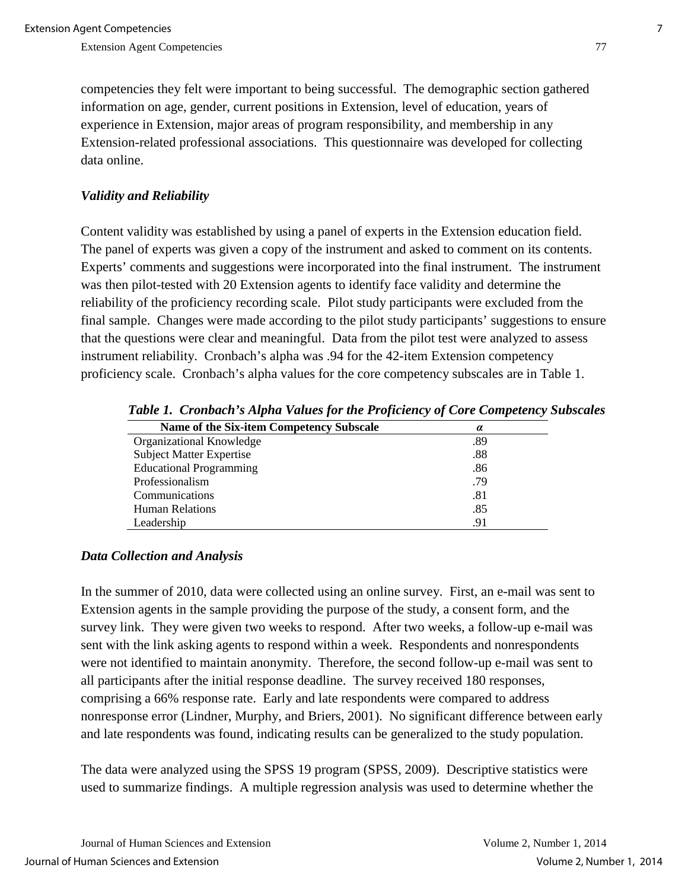competencies they felt were important to being successful. The demographic section gathered information on age, gender, current positions in Extension, level of education, years of experience in Extension, major areas of program responsibility, and membership in any Extension-related professional associations. This questionnaire was developed for collecting data online.

#### *Validity and Reliability*

Content validity was established by using a panel of experts in the Extension education field. The panel of experts was given a copy of the instrument and asked to comment on its contents. Experts' comments and suggestions were incorporated into the final instrument. The instrument was then pilot-tested with 20 Extension agents to identify face validity and determine the reliability of the proficiency recording scale. Pilot study participants were excluded from the final sample. Changes were made according to the pilot study participants' suggestions to ensure that the questions were clear and meaningful. Data from the pilot test were analyzed to assess instrument reliability. Cronbach's alpha was .94 for the 42-item Extension competency proficiency scale. Cronbach's alpha values for the core competency subscales are in Table 1.

| <b>Name of the Six-item Competency Subscale</b> | $\alpha$ |
|-------------------------------------------------|----------|
| Organizational Knowledge                        | .89      |
| <b>Subject Matter Expertise</b>                 | .88      |
| <b>Educational Programming</b>                  | .86      |
| Professionalism                                 | .79      |
| Communications                                  | .81      |
| <b>Human Relations</b>                          | .85      |
| Leadership                                      | .91      |

 *Table 1. Cronbach's Alpha Values for the Proficiency of Core Competency Subscales*

#### *Data Collection and Analysis*

In the summer of 2010, data were collected using an online survey. First, an e-mail was sent to Extension agents in the sample providing the purpose of the study, a consent form, and the survey link. They were given two weeks to respond. After two weeks, a follow-up e-mail was sent with the link asking agents to respond within a week. Respondents and nonrespondents were not identified to maintain anonymity. Therefore, the second follow-up e-mail was sent to all participants after the initial response deadline. The survey received 180 responses, comprising a 66% response rate. Early and late respondents were compared to address nonresponse error (Lindner, Murphy, and Briers, 2001). No significant difference between early and late respondents was found, indicating results can be generalized to the study population.

The data were analyzed using the SPSS 19 program (SPSS, 2009). Descriptive statistics were used to summarize findings. A multiple regression analysis was used to determine whether the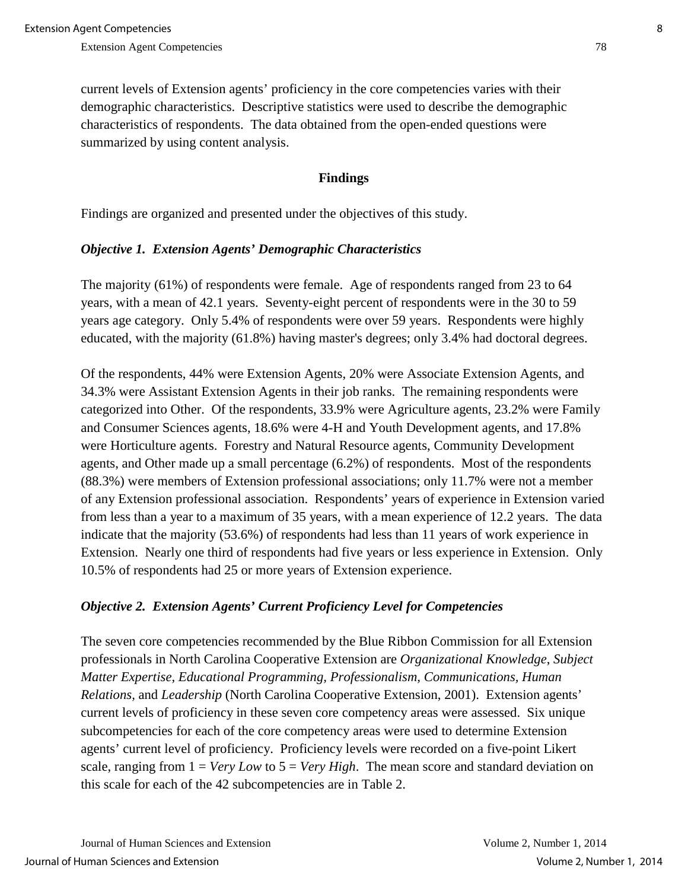current levels of Extension agents' proficiency in the core competencies varies with their demographic characteristics. Descriptive statistics were used to describe the demographic characteristics of respondents. The data obtained from the open-ended questions were summarized by using content analysis.

#### **Findings**

Findings are organized and presented under the objectives of this study.

#### *Objective 1. Extension Agents' Demographic Characteristics*

The majority (61%) of respondents were female. Age of respondents ranged from 23 to 64 years, with a mean of 42.1 years. Seventy-eight percent of respondents were in the 30 to 59 years age category. Only 5.4% of respondents were over 59 years. Respondents were highly educated, with the majority (61.8%) having master's degrees; only 3.4% had doctoral degrees.

Of the respondents, 44% were Extension Agents, 20% were Associate Extension Agents, and 34.3% were Assistant Extension Agents in their job ranks. The remaining respondents were categorized into Other. Of the respondents, 33.9% were Agriculture agents, 23.2% were Family and Consumer Sciences agents, 18.6% were 4-H and Youth Development agents, and 17.8% were Horticulture agents. Forestry and Natural Resource agents, Community Development agents, and Other made up a small percentage (6.2%) of respondents. Most of the respondents (88.3%) were members of Extension professional associations; only 11.7% were not a member of any Extension professional association. Respondents' years of experience in Extension varied from less than a year to a maximum of 35 years, with a mean experience of 12.2 years. The data indicate that the majority (53.6%) of respondents had less than 11 years of work experience in Extension. Nearly one third of respondents had five years or less experience in Extension. Only 10.5% of respondents had 25 or more years of Extension experience.

#### *Objective 2. Extension Agents' Current Proficiency Level for Competencies*

The seven core competencies recommended by the Blue Ribbon Commission for all Extension professionals in North Carolina Cooperative Extension are *Organizational Knowledge*, *Subject Matter Expertise, Educational Programming, Professionalism, Communications, Human Relations,* and *Leadership* (North Carolina Cooperative Extension, 2001). Extension agents' current levels of proficiency in these seven core competency areas were assessed. Six unique subcompetencies for each of the core competency areas were used to determine Extension agents' current level of proficiency. Proficiency levels were recorded on a five-point Likert scale, ranging from 1 = *Very Low* to 5 = *Very High*. The mean score and standard deviation on this scale for each of the 42 subcompetencies are in Table 2.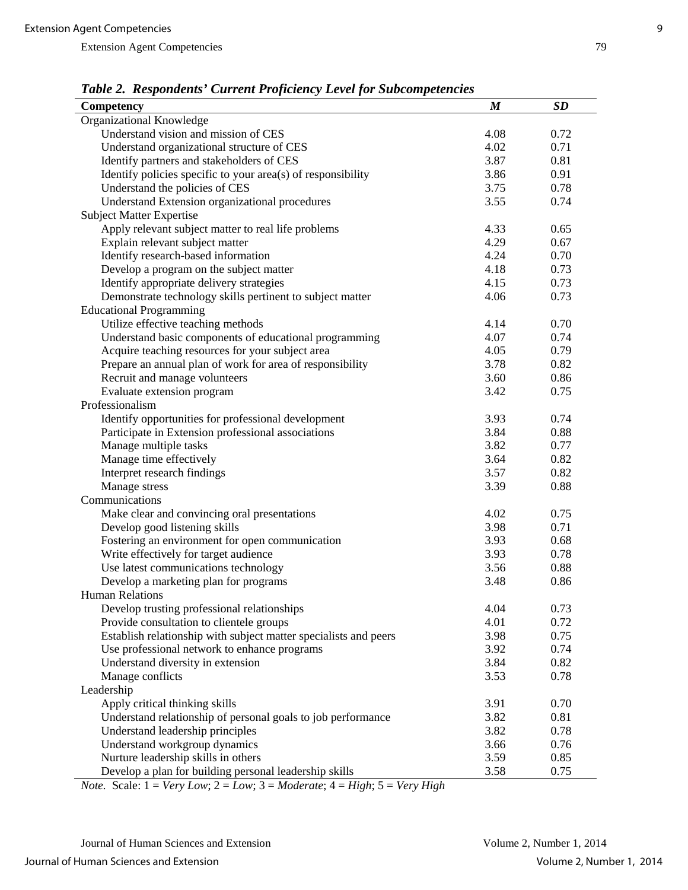| Table 2. Respondents Carrent Fojiciency Level for Subcompetencies |                  |           |
|-------------------------------------------------------------------|------------------|-----------|
| Competency                                                        | $\boldsymbol{M}$ | <b>SD</b> |
| Organizational Knowledge                                          |                  |           |
| Understand vision and mission of CES                              | 4.08             | 0.72      |
| Understand organizational structure of CES                        | 4.02             | 0.71      |
| Identify partners and stakeholders of CES                         | 3.87             | 0.81      |
| Identify policies specific to your $area(s)$ of responsibility    | 3.86             | 0.91      |
| Understand the policies of CES                                    | 3.75             | 0.78      |
| Understand Extension organizational procedures                    | 3.55             | 0.74      |
| <b>Subject Matter Expertise</b>                                   |                  |           |
| Apply relevant subject matter to real life problems               | 4.33             | 0.65      |
| Explain relevant subject matter                                   | 4.29             | 0.67      |
| Identify research-based information                               | 4.24             | 0.70      |
| Develop a program on the subject matter                           | 4.18             | 0.73      |
| Identify appropriate delivery strategies                          | 4.15             | 0.73      |
| Demonstrate technology skills pertinent to subject matter         | 4.06             | 0.73      |
| <b>Educational Programming</b>                                    |                  |           |
| Utilize effective teaching methods                                | 4.14             | 0.70      |
| Understand basic components of educational programming            | 4.07             | 0.74      |
| Acquire teaching resources for your subject area                  | 4.05             | 0.79      |
| Prepare an annual plan of work for area of responsibility         | 3.78             | 0.82      |
| Recruit and manage volunteers                                     | 3.60             | 0.86      |
| Evaluate extension program                                        | 3.42             | 0.75      |
| Professionalism                                                   |                  |           |
| Identify opportunities for professional development               | 3.93             | 0.74      |
| Participate in Extension professional associations                | 3.84             | 0.88      |
| Manage multiple tasks                                             | 3.82             | 0.77      |
| Manage time effectively                                           | 3.64             | 0.82      |
| Interpret research findings                                       | 3.57             | 0.82      |
| Manage stress                                                     | 3.39             | 0.88      |
| Communications                                                    |                  |           |
| Make clear and convincing oral presentations                      | 4.02             | 0.75      |
| Develop good listening skills                                     | 3.98             | 0.71      |
| Fostering an environment for open communication                   | 3.93             | 0.68      |
| Write effectively for target audience                             | 3.93             | 0.78      |
| Use latest communications technology                              | 3.56             | 0.88      |
| Develop a marketing plan for programs                             | 3.48             | 0.86      |
| Human Relations                                                   |                  |           |
| Develop trusting professional relationships                       | 4.04             | 0.73      |
| Provide consultation to clientele groups                          | 4.01             | 0.72      |
| Establish relationship with subject matter specialists and peers  | 3.98             | 0.75      |
| Use professional network to enhance programs                      | 3.92             | 0.74      |
| Understand diversity in extension                                 | 3.84             | 0.82      |
| Manage conflicts                                                  | 3.53             | 0.78      |
| Leadership                                                        |                  |           |
| Apply critical thinking skills                                    | 3.91             | 0.70      |
| Understand relationship of personal goals to job performance      | 3.82             | 0.81      |
| Understand leadership principles                                  | 3.82             | 0.78      |
| Understand workgroup dynamics                                     | 3.66             | 0.76      |
| Nurture leadership skills in others                               | 3.59             | 0.85      |
| Develop a plan for building personal leadership skills            | 3.58             | 0.75      |

*Table 2. Respondents' Current Proficiency Level for Subcompetencies*

*Note.* Scale: 1 = *Very Low*; 2 = *Low*; 3 = *Moderate*; 4 = *High*; 5 = *Very High*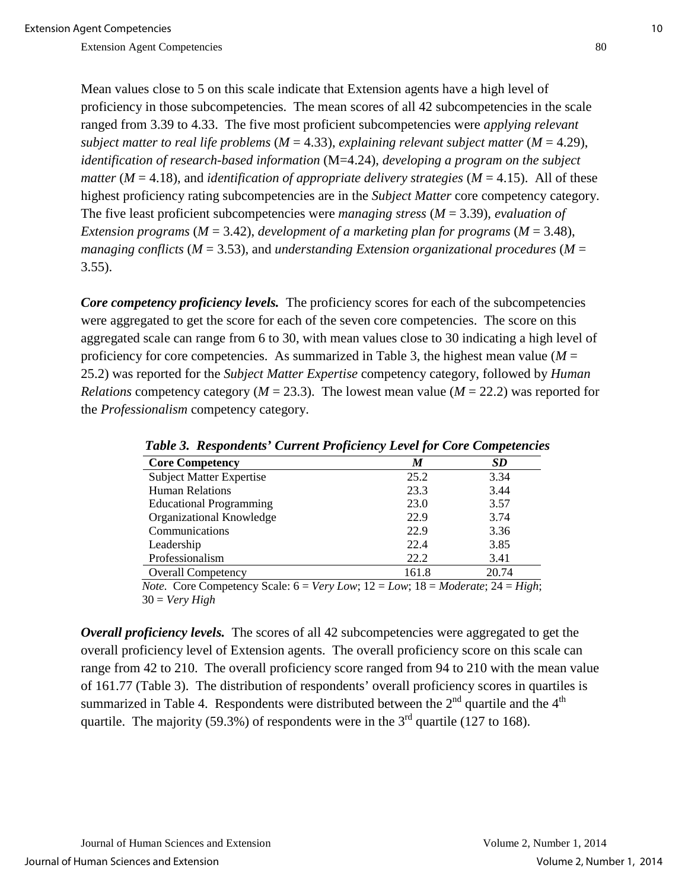Mean values close to 5 on this scale indicate that Extension agents have a high level of proficiency in those subcompetencies. The mean scores of all 42 subcompetencies in the scale ranged from 3.39 to 4.33. The five most proficient subcompetencies were *applying relevant subject matter to real life problems* (*M* = 4.33), *explaining relevant subject matter* (*M* = 4.29), *identification of research-based information* (M=4.24), *developing a program on the subject matter* ( $M = 4.18$ ), and *identification of appropriate delivery strategies* ( $M = 4.15$ ). All of these highest proficiency rating subcompetencies are in the *Subject Matter* core competency category. The five least proficient subcompetencies were *managing stress* (*M* = 3.39), *evaluation of Extension programs* (*M* = 3.42), *development of a marketing plan for programs* (*M* = 3.48), *managing conflicts* (*M* = 3.53), and *understanding Extension organizational procedures* (*M* =  $3.55$ ).

*Core competency proficiency levels.* The proficiency scores for each of the subcompetencies were aggregated to get the score for each of the seven core competencies. The score on this aggregated scale can range from 6 to 30, with mean values close to 30 indicating a high level of proficiency for core competencies. As summarized in Table 3, the highest mean value ( $M =$ 25.2) was reported for the *Subject Matter Expertise* competency category, followed by *Human Relations* competency category ( $M = 23.3$ ). The lowest mean value ( $M = 22.2$ ) was reported for the *Professionalism* competency category.

|                                                                                                                                                                                               |       | л.    |
|-----------------------------------------------------------------------------------------------------------------------------------------------------------------------------------------------|-------|-------|
| <b>Core Competency</b>                                                                                                                                                                        | M     | SD    |
| <b>Subject Matter Expertise</b>                                                                                                                                                               | 25.2  | 3.34  |
| <b>Human Relations</b>                                                                                                                                                                        | 23.3  | 3.44  |
| <b>Educational Programming</b>                                                                                                                                                                | 23.0  | 3.57  |
| Organizational Knowledge                                                                                                                                                                      | 22.9  | 3.74  |
| Communications                                                                                                                                                                                | 22.9  | 3.36  |
| Leadership                                                                                                                                                                                    | 22.4  | 3.85  |
| Professionalism                                                                                                                                                                               | 22.2  | 3.41  |
| <b>Overall Competency</b>                                                                                                                                                                     | 161.8 | 20.74 |
| $M_{\alpha\alpha}$ Core Compatency $S_{\alpha\alpha}$ $\zeta = V_{\alpha\beta}$ , $I_{\alpha\alpha\beta}$ $10 = I_{\alpha\alpha\beta}$ $10 = M_{\alpha}$ denotes $24 = U_{\alpha\beta\gamma}$ |       |       |

 *Table 3. Respondents' Current Proficiency Level for Core Competencies*

 *Note.* Core Competency Scale: 6 = *Very Low*; 12 = *Low*; 18 = *Moderate*; 24 = *High*; 30 = *Very High*

*Overall proficiency levels.* The scores of all 42 subcompetencies were aggregated to get the overall proficiency level of Extension agents. The overall proficiency score on this scale can range from 42 to 210. The overall proficiency score ranged from 94 to 210 with the mean value of 161.77 (Table 3). The distribution of respondents' overall proficiency scores in quartiles is summarized in Table 4. Respondents were distributed between the  $2<sup>nd</sup>$  quartile and the  $4<sup>th</sup>$ quartile. The majority (59.3%) of respondents were in the  $3<sup>rd</sup>$  quartile (127 to 168).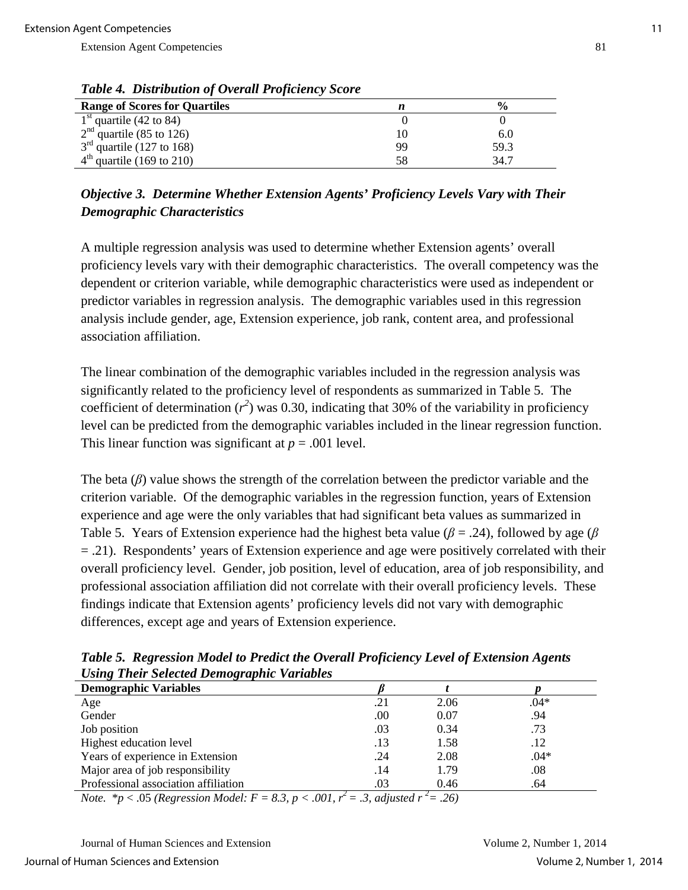| <b>Range of Scores for Quartiles</b> | n  |      |
|--------------------------------------|----|------|
| $1st$ quartile (42 to 84)            |    |      |
| $2nd$ quartile (85 to 126)           | 10 | 6.U  |
| $3rd$ quartile (127 to 168)          | 99 | 59.3 |
| $4th$ quartile (169 to 210)          | 58 | 34.7 |

*Table 4. Distribution of Overall Proficiency Score*

## *Objective 3. Determine Whether Extension Agents' Proficiency Levels Vary with Their Demographic Characteristics*

A multiple regression analysis was used to determine whether Extension agents' overall proficiency levels vary with their demographic characteristics. The overall competency was the dependent or criterion variable, while demographic characteristics were used as independent or predictor variables in regression analysis. The demographic variables used in this regression analysis include gender, age, Extension experience, job rank, content area, and professional association affiliation.

The linear combination of the demographic variables included in the regression analysis was significantly related to the proficiency level of respondents as summarized in Table 5. The coefficient of determination  $(r^2)$  was 0.30, indicating that 30% of the variability in proficiency level can be predicted from the demographic variables included in the linear regression function. This linear function was significant at  $p = .001$  level.

The beta (*β*) value shows the strength of the correlation between the predictor variable and the criterion variable. Of the demographic variables in the regression function, years of Extension experience and age were the only variables that had significant beta values as summarized in Table 5. Years of Extension experience had the highest beta value (*β* = .24), followed by age (*β* = .21). Respondents' years of Extension experience and age were positively correlated with their overall proficiency level. Gender, job position, level of education, area of job responsibility, and professional association affiliation did not correlate with their overall proficiency levels. These findings indicate that Extension agents' proficiency levels did not vary with demographic differences, except age and years of Extension experience.

| Comz Then Science Demozraphic Tarabics |     |      |        |
|----------------------------------------|-----|------|--------|
| <b>Demographic Variables</b>           |     |      |        |
| Age                                    | .21 | 2.06 | $.04*$ |
| Gender                                 | .00 | 0.07 | .94    |
| Job position                           | .03 | 0.34 | .73    |
| Highest education level                | .13 | 1.58 | .12    |
| Years of experience in Extension       | .24 | 2.08 | $.04*$ |
| Major area of job responsibility       | .14 | 1.79 | .08    |
| Professional association affiliation   | .03 | 0.46 | .64    |

*Table 5. Regression Model to Predict the Overall Proficiency Level of Extension Agents Using Their Selected Demographic Variables*

*Note.*  $* p < .05$  (Regression Model:  $F = 8.3$ ,  $p < .001$ ,  $r^2 = .3$ , adjusted  $r^2 = .26$ )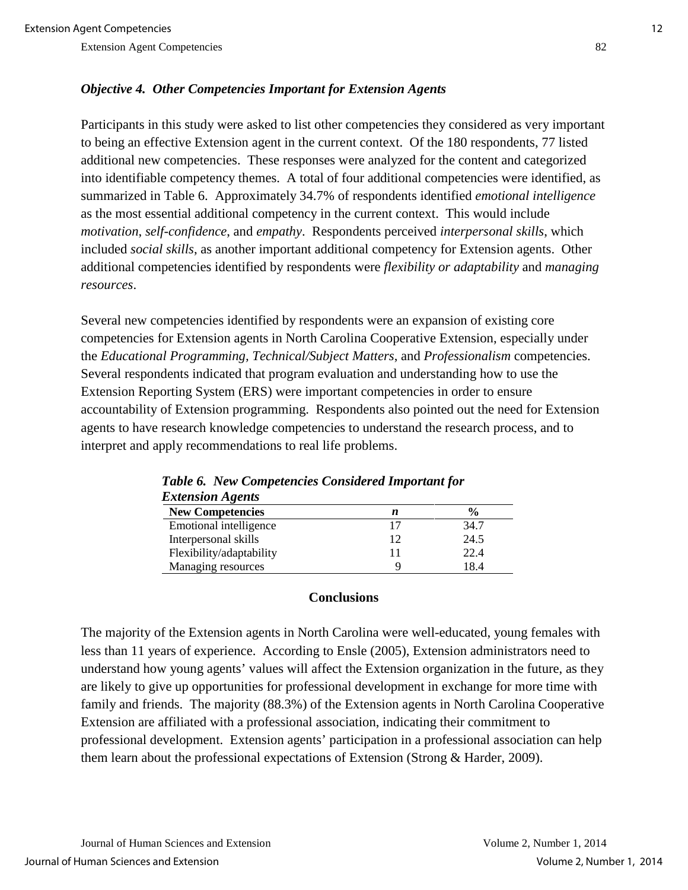#### *Objective 4. Other Competencies Important for Extension Agents*

Participants in this study were asked to list other competencies they considered as very important to being an effective Extension agent in the current context. Of the 180 respondents, 77 listed additional new competencies. These responses were analyzed for the content and categorized into identifiable competency themes. A total of four additional competencies were identified, as summarized in Table 6. Approximately 34.7% of respondents identified *emotional intelligence* as the most essential additional competency in the current context. This would include *motivation*, *self-confidence*, and *empathy*. Respondents perceived *interpersonal skills*, which included *social skills*, as another important additional competency for Extension agents. Other additional competencies identified by respondents were *flexibility or adaptability* and *managing resources*.

Several new competencies identified by respondents were an expansion of existing core competencies for Extension agents in North Carolina Cooperative Extension, especially under the *Educational Programming, Technical/Subject Matters*, and *Professionalism* competencies. Several respondents indicated that program evaluation and understanding how to use the Extension Reporting System (ERS) were important competencies in order to ensure accountability of Extension programming. Respondents also pointed out the need for Extension agents to have research knowledge competencies to understand the research process, and to interpret and apply recommendations to real life problems.

| <i><b>Extension Agents</b></i> |    |               |
|--------------------------------|----|---------------|
| <b>New Competencies</b>        | n  | $\frac{6}{6}$ |
| Emotional intelligence         | 17 | 34.7          |
| Interpersonal skills           | 12 | 24.5          |
| Flexibility/adaptability       |    | 22.4          |
| Managing resources             |    | 18.4          |

| <b>Table 6. New Competencies Considered Important for</b> |
|-----------------------------------------------------------|
| <b>Extension Agents</b>                                   |

#### **Conclusions**

The majority of the Extension agents in North Carolina were well-educated, young females with less than 11 years of experience. According to Ensle (2005), Extension administrators need to understand how young agents' values will affect the Extension organization in the future, as they are likely to give up opportunities for professional development in exchange for more time with family and friends. The majority (88.3%) of the Extension agents in North Carolina Cooperative Extension are affiliated with a professional association, indicating their commitment to professional development. Extension agents' participation in a professional association can help them learn about the professional expectations of Extension (Strong & Harder, 2009).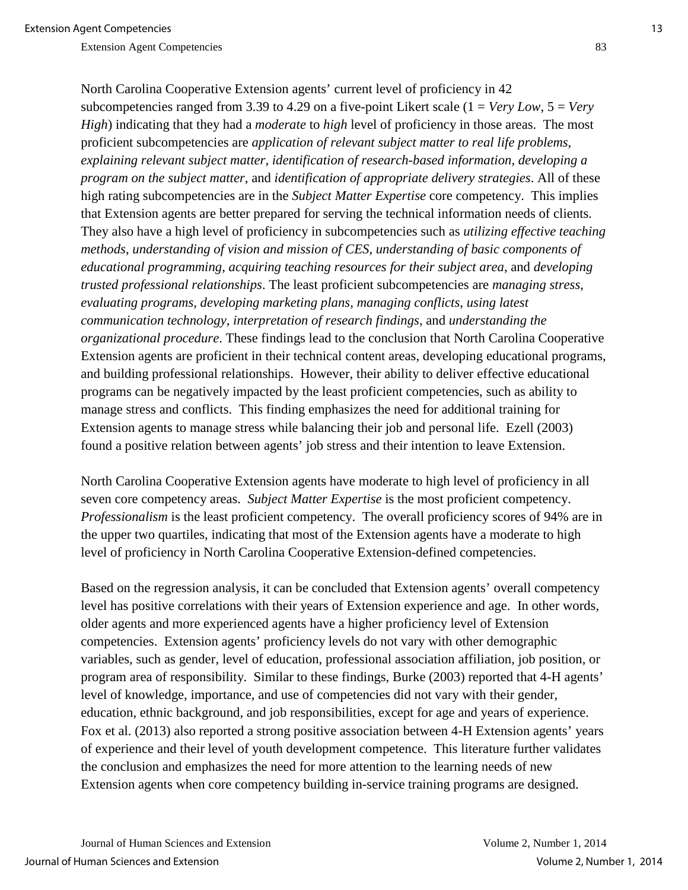North Carolina Cooperative Extension agents' current level of proficiency in 42 subcompetencies ranged from 3.39 to 4.29 on a five-point Likert scale (1 = *Very Low*, 5 = *Very High*) indicating that they had a *moderate* to *high* level of proficiency in those areas. The most proficient subcompetencies are *application of relevant subject matter to real life problems*, *explaining relevant subject matter*, *identification of research-based information*, *developing a program on the subject matter*, and *identification of appropriate delivery strategies*. All of these high rating subcompetencies are in the *Subject Matter Expertise* core competency. This implies that Extension agents are better prepared for serving the technical information needs of clients. They also have a high level of proficiency in subcompetencies such as *utilizing effective teaching methods*, *understanding of vision and mission of CES*, *understanding of basic components of educational programming*, *acquiring teaching resources for their subject area*, and *developing trusted professional relationships*. The least proficient subcompetencies are *managing stress*, *evaluating programs*, *developing marketing plans, managing conflicts*, *using latest communication technology*, *interpretation of research findings*, and *understanding the organizational procedure*. These findings lead to the conclusion that North Carolina Cooperative Extension agents are proficient in their technical content areas, developing educational programs, and building professional relationships. However, their ability to deliver effective educational programs can be negatively impacted by the least proficient competencies, such as ability to manage stress and conflicts. This finding emphasizes the need for additional training for Extension agents to manage stress while balancing their job and personal life. Ezell (2003) found a positive relation between agents' job stress and their intention to leave Extension.

North Carolina Cooperative Extension agents have moderate to high level of proficiency in all seven core competency areas. *Subject Matter Expertise* is the most proficient competency. *Professionalism* is the least proficient competency. The overall proficiency scores of 94% are in the upper two quartiles, indicating that most of the Extension agents have a moderate to high level of proficiency in North Carolina Cooperative Extension-defined competencies.

Based on the regression analysis, it can be concluded that Extension agents' overall competency level has positive correlations with their years of Extension experience and age. In other words, older agents and more experienced agents have a higher proficiency level of Extension competencies. Extension agents' proficiency levels do not vary with other demographic variables, such as gender, level of education, professional association affiliation, job position, or program area of responsibility. Similar to these findings, Burke (2003) reported that 4-H agents' level of knowledge, importance, and use of competencies did not vary with their gender, education, ethnic background, and job responsibilities, except for age and years of experience. Fox et al. (2013) also reported a strong positive association between 4-H Extension agents' years of experience and their level of youth development competence. This literature further validates the conclusion and emphasizes the need for more attention to the learning needs of new Extension agents when core competency building in-service training programs are designed.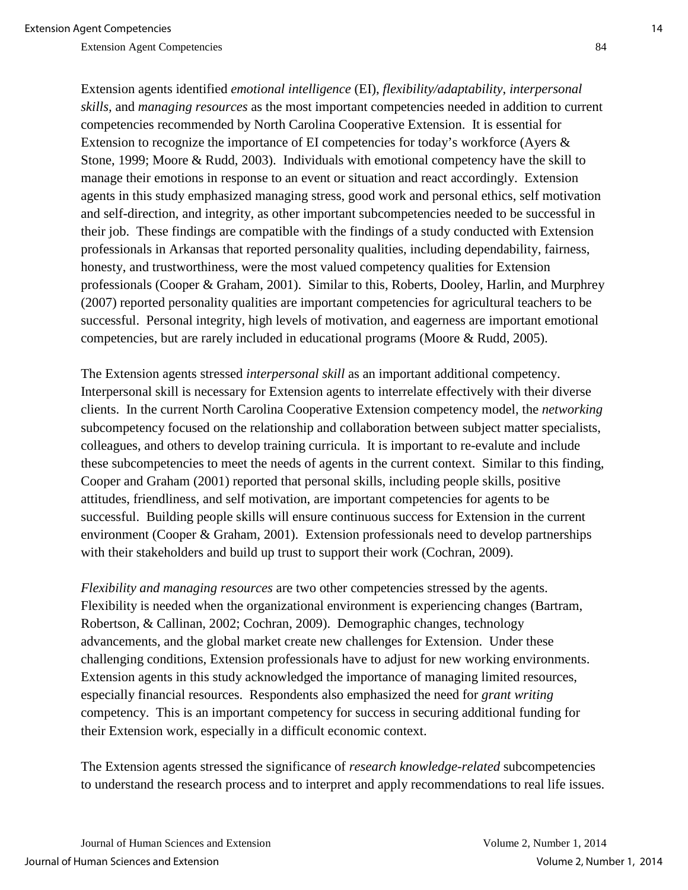Extension agents identified *emotional intelligence* (EI), *flexibility/adaptability*, *interpersonal skills,* and *managing resources* as the most important competencies needed in addition to current competencies recommended by North Carolina Cooperative Extension. It is essential for Extension to recognize the importance of EI competencies for today's workforce (Ayers & Stone, 1999; Moore & Rudd, 2003). Individuals with emotional competency have the skill to manage their emotions in response to an event or situation and react accordingly. Extension agents in this study emphasized managing stress, good work and personal ethics, self motivation and self-direction, and integrity, as other important subcompetencies needed to be successful in their job. These findings are compatible with the findings of a study conducted with Extension professionals in Arkansas that reported personality qualities, including dependability, fairness, honesty, and trustworthiness, were the most valued competency qualities for Extension

professionals (Cooper & Graham, 2001). Similar to this, Roberts, Dooley, Harlin, and Murphrey (2007) reported personality qualities are important competencies for agricultural teachers to be successful. Personal integrity, high levels of motivation, and eagerness are important emotional competencies, but are rarely included in educational programs (Moore & Rudd, 2005).

The Extension agents stressed *interpersonal skill* as an important additional competency. Interpersonal skill is necessary for Extension agents to interrelate effectively with their diverse clients. In the current North Carolina Cooperative Extension competency model, the *networking* subcompetency focused on the relationship and collaboration between subject matter specialists, colleagues, and others to develop training curricula. It is important to re-evalute and include these subcompetencies to meet the needs of agents in the current context. Similar to this finding, Cooper and Graham (2001) reported that personal skills, including people skills, positive attitudes, friendliness, and self motivation, are important competencies for agents to be successful. Building people skills will ensure continuous success for Extension in the current environment (Cooper & Graham, 2001). Extension professionals need to develop partnerships with their stakeholders and build up trust to support their work (Cochran, 2009).

*Flexibility and managing resources* are two other competencies stressed by the agents. Flexibility is needed when the organizational environment is experiencing changes (Bartram, Robertson, & Callinan, 2002; Cochran, 2009). Demographic changes, technology advancements, and the global market create new challenges for Extension. Under these challenging conditions, Extension professionals have to adjust for new working environments. Extension agents in this study acknowledged the importance of managing limited resources, especially financial resources. Respondents also emphasized the need for *grant writing* competency. This is an important competency for success in securing additional funding for their Extension work, especially in a difficult economic context.

The Extension agents stressed the significance of *research knowledge-related* subcompetencies to understand the research process and to interpret and apply recommendations to real life issues.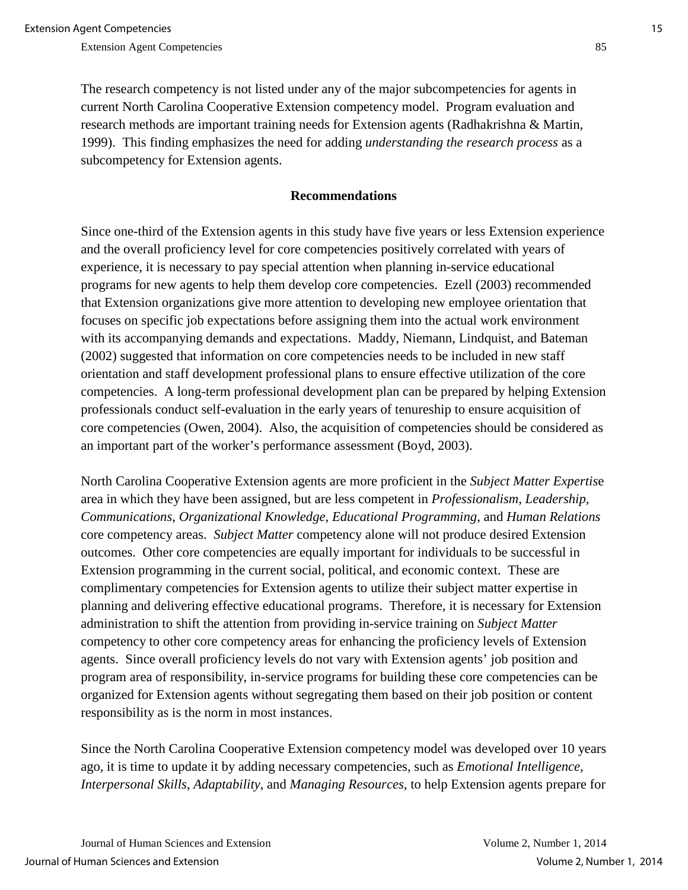The research competency is not listed under any of the major subcompetencies for agents in current North Carolina Cooperative Extension competency model. Program evaluation and research methods are important training needs for Extension agents (Radhakrishna & Martin, 1999). This finding emphasizes the need for adding *understanding the research process* as a subcompetency for Extension agents.

#### **Recommendations**

Since one-third of the Extension agents in this study have five years or less Extension experience and the overall proficiency level for core competencies positively correlated with years of experience, it is necessary to pay special attention when planning in-service educational programs for new agents to help them develop core competencies. Ezell (2003) recommended that Extension organizations give more attention to developing new employee orientation that focuses on specific job expectations before assigning them into the actual work environment with its accompanying demands and expectations. Maddy, Niemann, Lindquist, and Bateman (2002) suggested that information on core competencies needs to be included in new staff orientation and staff development professional plans to ensure effective utilization of the core competencies. A long-term professional development plan can be prepared by helping Extension professionals conduct self-evaluation in the early years of tenureship to ensure acquisition of core competencies (Owen, 2004). Also, the acquisition of competencies should be considered as an important part of the worker's performance assessment (Boyd, 2003).

North Carolina Cooperative Extension agents are more proficient in the *Subject Matter Expertis*e area in which they have been assigned, but are less competent in *Professionalism*, *Leadership*, *Communications*, *Organizational Knowledge*, *Educational Programming*, and *Human Relations* core competency areas. *Subject Matter* competency alone will not produce desired Extension outcomes. Other core competencies are equally important for individuals to be successful in Extension programming in the current social, political, and economic context. These are complimentary competencies for Extension agents to utilize their subject matter expertise in planning and delivering effective educational programs. Therefore, it is necessary for Extension administration to shift the attention from providing in-service training on *Subject Matter* competency to other core competency areas for enhancing the proficiency levels of Extension agents. Since overall proficiency levels do not vary with Extension agents' job position and program area of responsibility, in-service programs for building these core competencies can be organized for Extension agents without segregating them based on their job position or content responsibility as is the norm in most instances.

Since the North Carolina Cooperative Extension competency model was developed over 10 years ago, it is time to update it by adding necessary competencies, such as *Emotional Intelligence*, *Interpersonal Skills*, *Adaptability*, and *Managing Resources,* to help Extension agents prepare for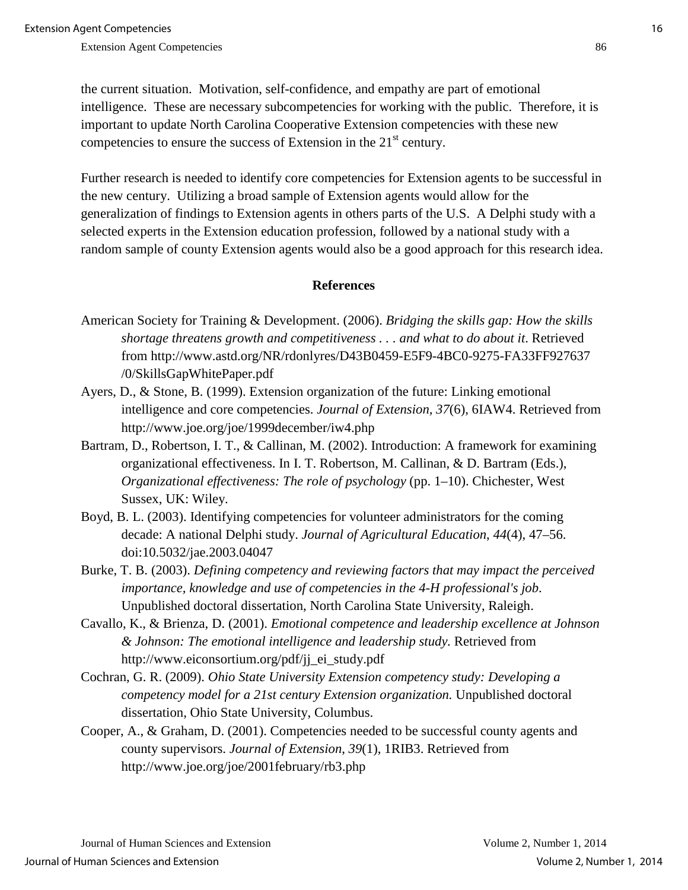the current situation. Motivation, self-confidence, and empathy are part of emotional intelligence. These are necessary subcompetencies for working with the public. Therefore, it is important to update North Carolina Cooperative Extension competencies with these new competencies to ensure the success of Extension in the 21<sup>st</sup> century.

Further research is needed to identify core competencies for Extension agents to be successful in the new century. Utilizing a broad sample of Extension agents would allow for the generalization of findings to Extension agents in others parts of the U.S. A Delphi study with a selected experts in the Extension education profession, followed by a national study with a random sample of county Extension agents would also be a good approach for this research idea.

#### **References**

- American Society for Training & Development. (2006). *Bridging the skills gap: How the skills shortage threatens growth and competitiveness . . . and what to do about it*. Retrieved from http://www.astd.org/NR/rdonlyres/D43B0459-E5F9-4BC0-9275-FA33FF927637 /0/SkillsGapWhitePaper.pdf
- Ayers, D., & Stone, B. (1999). Extension organization of the future: Linking emotional intelligence and core competencies. *Journal of Extension, 37*(6), 6IAW4. Retrieved from http://www.joe.org/joe/1999december/iw4.php
- Bartram, D., Robertson, I. T., & Callinan, M. (2002). Introduction: A framework for examining organizational effectiveness. In I. T. Robertson, M. Callinan, & D. Bartram (Eds.), *Organizational effectiveness: The role of psychology* (pp. 1–10). Chichester, West Sussex, UK: Wiley.
- Boyd, B. L. (2003). Identifying competencies for volunteer administrators for the coming decade: A national Delphi study. *Journal of Agricultural Education*, *44*(4), 47–56. doi:10.5032/jae.2003.04047
- Burke, T. B. (2003). *Defining competency and reviewing factors that may impact the perceived importance, knowledge and use of competencies in the 4-H professional's job*. Unpublished doctoral dissertation, North Carolina State University, Raleigh.
- Cavallo, K., & Brienza, D. (2001). *Emotional competence and leadership excellence at Johnson & Johnson: The emotional intelligence and leadership study.* Retrieved from http://www.eiconsortium.org/pdf/jj\_ei\_study.pdf
- Cochran, G. R. (2009). *Ohio State University Extension competency study: Developing a competency model for a 21st century Extension organization.* Unpublished doctoral dissertation, Ohio State University, Columbus.
- Cooper, A., & Graham, D. (2001). Competencies needed to be successful county agents and county supervisors. *Journal of Extension*, *39*(1), 1RIB3. Retrieved from http://www.joe.org/joe/2001february/rb3.php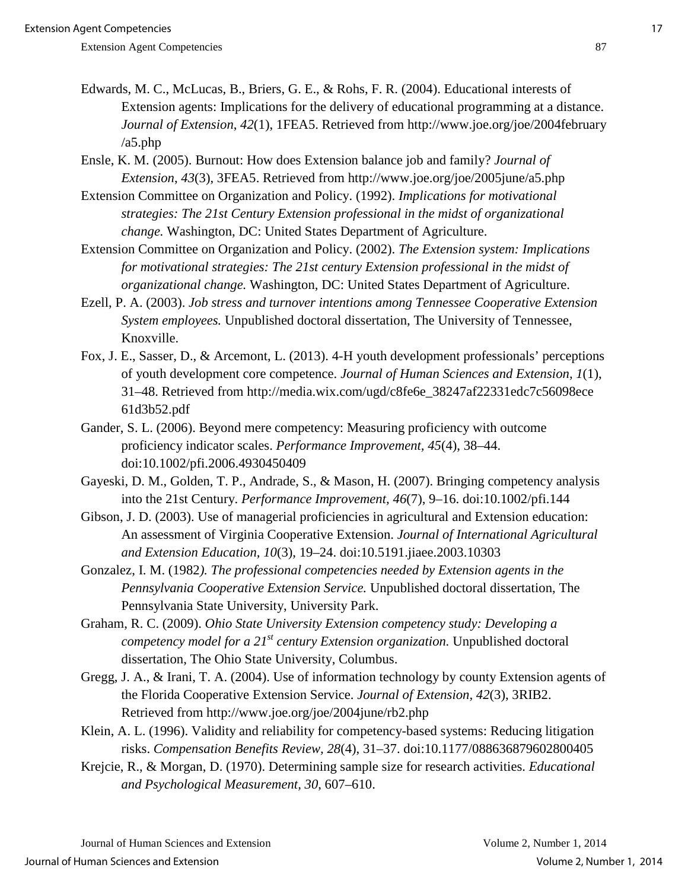- Edwards, M. C., McLucas, B., Briers, G. E., & Rohs, F. R. (2004). Educational interests of Extension agents: Implications for the delivery of educational programming at a distance. *Journal of Extension*, *42*(1), 1FEA5. Retrieved from http://www.joe.org/joe/2004february /a5.php
- Ensle, K. M. (2005). Burnout: How does Extension balance job and family? *Journal of Extension*, *43*(3), 3FEA5. Retrieved from http://www.joe.org/joe/2005june/a5.php
- Extension Committee on Organization and Policy. (1992). *Implications for motivational strategies: The 21st Century Extension professional in the midst of organizational change.* Washington, DC: United States Department of Agriculture.
- Extension Committee on Organization and Policy. (2002). *The Extension system: Implications for motivational strategies: The 21st century Extension professional in the midst of organizational change.* Washington, DC: United States Department of Agriculture.
- Ezell, P. A. (2003). *Job stress and turnover intentions among Tennessee Cooperative Extension System employees.* Unpublished doctoral dissertation, The University of Tennessee, Knoxville.
- Fox, J. E., Sasser, D., & Arcemont, L. (2013). 4-H youth development professionals' perceptions of youth development core competence. *Journal of Human Sciences and Extension, 1*(1), 31–48. Retrieved from http://media.wix.com/ugd/c8fe6e\_38247af22331edc7c56098ece 61d3b52.pdf
- Gander, S. L. (2006). Beyond mere competency: Measuring proficiency with outcome proficiency indicator scales. *Performance Improvement, 45*(4), 38–44. doi:10.1002/pfi.2006.4930450409
- Gayeski, D. M., Golden, T. P., Andrade, S., & Mason, H. (2007). Bringing competency analysis into the 21st Century. *Performance Improvement, 46*(7), 9–16. doi:10.1002/pfi.144
- Gibson, J. D. (2003). Use of managerial proficiencies in agricultural and Extension education: An assessment of Virginia Cooperative Extension. *Journal of International Agricultural and Extension Education, 10*(3), 19–24. doi:10.5191.jiaee.2003.10303
- Gonzalez, I. M. (1982*). The professional competencies needed by Extension agents in the Pennsylvania Cooperative Extension Service.* Unpublished doctoral dissertation, The Pennsylvania State University, University Park.
- Graham, R. C. (2009). *Ohio State University Extension competency study: Developing a competency model for a 21st century Extension organization.* Unpublished doctoral dissertation, The Ohio State University, Columbus.
- Gregg, J. A., & Irani, T. A. (2004). Use of information technology by county Extension agents of the Florida Cooperative Extension Service. *Journal of Extension, 42*(3), 3RIB2. Retrieved from http://www.joe.org/joe/2004june/rb2.php
- Klein, A. L. (1996). Validity and reliability for competency-based systems: Reducing litigation risks. *Compensation Benefits Review, 28*(4), 31–37. doi:10.1177/088636879602800405
- Krejcie, R., & Morgan, D. (1970). Determining sample size for research activities. *Educational and Psychological Measurement, 30*, 607–610.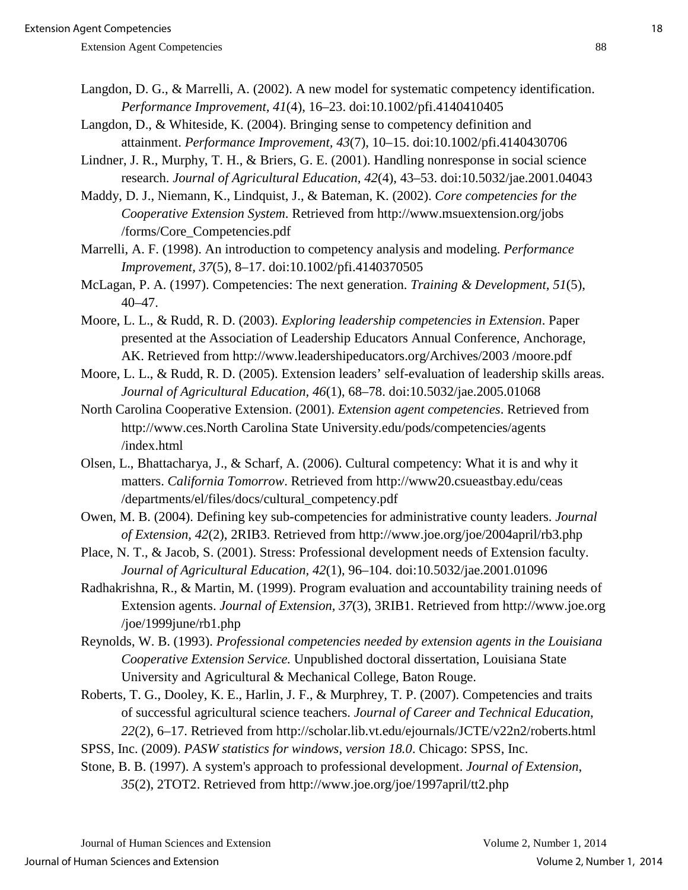- Langdon, D. G., & Marrelli, A. (2002). A new model for systematic competency identification. *Performance Improvement, 41*(4), 16–23. doi:10.1002/pfi.4140410405
- Langdon, D., & Whiteside, K. (2004). Bringing sense to competency definition and attainment. *Performance Improvement, 43*(7), 10–15. doi:10.1002/pfi.4140430706
- Lindner, J. R., Murphy, T. H., & Briers, G. E. (2001). Handling nonresponse in social science research. *Journal of Agricultural Education, 42*(4), 43–53. doi:10.5032/jae.2001.04043
- Maddy, D. J., Niemann, K., Lindquist, J., & Bateman, K. (2002). *Core competencies for the Cooperative Extension System*. Retrieved from http://www.msuextension.org/jobs /forms/Core\_Competencies.pdf
- Marrelli, A. F. (1998). An introduction to competency analysis and modeling. *Performance Improvement, 37*(5), 8–17. doi:10.1002/pfi.4140370505
- McLagan, P. A. (1997). Competencies: The next generation. *Training & Development, 51*(5), 40–47.
- Moore, L. L., & Rudd, R. D. (2003). *Exploring leadership competencies in Extension*. Paper presented at the Association of Leadership Educators Annual Conference, Anchorage, AK. Retrieved from http://www.leadershipeducators.org/Archives/2003 /moore.pdf
- Moore, L. L., & Rudd, R. D. (2005). Extension leaders' self-evaluation of leadership skills areas. *Journal of Agricultural Education, 46*(1), 68–78. doi:10.5032/jae.2005.01068
- North Carolina Cooperative Extension. (2001). *Extension agent competencies*. Retrieved from http://www.ces.North Carolina State University.edu/pods/competencies/agents /index.html
- Olsen, L., Bhattacharya, J., & Scharf, A. (2006). Cultural competency: What it is and why it matters. *California Tomorrow*. Retrieved from http://www20.csueastbay.edu/ceas /departments/el/files/docs/cultural\_competency.pdf
- Owen, M. B. (2004). Defining key sub-competencies for administrative county leaders. *Journal of Extension, 42*(2), 2RIB3. Retrieved from http://www.joe.org/joe/2004april/rb3.php
- Place, N. T., & Jacob, S. (2001). Stress: Professional development needs of Extension faculty. *Journal of Agricultural Education, 42*(1), 96–104. doi:10.5032/jae.2001.01096
- Radhakrishna, R., & Martin, M. (1999). Program evaluation and accountability training needs of Extension agents. *Journal of Extension, 37*(3), 3RIB1. Retrieved from http://www.joe.org /joe/1999june/rb1.php
- Reynolds, W. B. (1993). *Professional competencies needed by extension agents in the Louisiana Cooperative Extension Service.* Unpublished doctoral dissertation, Louisiana State University and Agricultural & Mechanical College, Baton Rouge.
- Roberts, T. G., Dooley, K. E., Harlin, J. F., & Murphrey, T. P. (2007). Competencies and traits of successful agricultural science teachers. *Journal of Career and Technical Education*, *22*(2), 6–17. Retrieved from http://scholar.lib.vt.edu/ejournals/JCTE/v22n2/roberts.html
- SPSS, Inc. (2009). *PASW statistics for windows, version 18.0*. Chicago: SPSS, Inc.
- Stone, B. B. (1997). A system's approach to professional development. *Journal of Extension*, *35*(2), 2TOT2. Retrieved from http://www.joe.org/joe/1997april/tt2.php